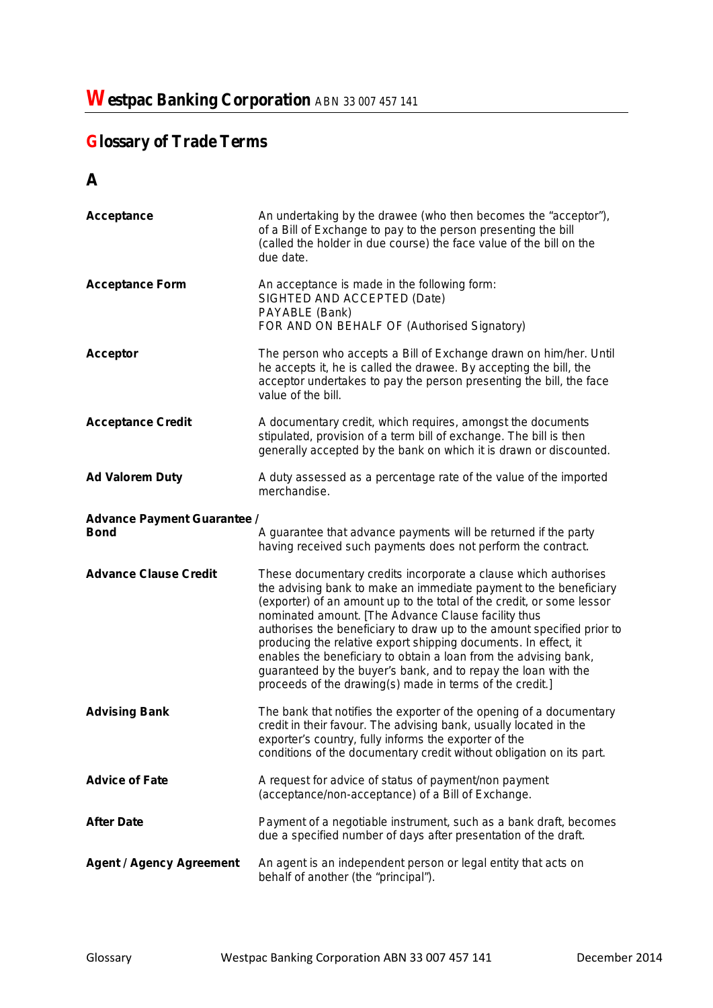## **Glossary of Trade Terms**

## **A**

| Acceptance                         | An undertaking by the drawee (who then becomes the "acceptor"),<br>of a Bill of Exchange to pay to the person presenting the bill<br>(called the <i>holder in due course</i> ) the face value of the bill on the<br>due date.                                                                                                                                                                                                                                                                                                                                                                                       |
|------------------------------------|---------------------------------------------------------------------------------------------------------------------------------------------------------------------------------------------------------------------------------------------------------------------------------------------------------------------------------------------------------------------------------------------------------------------------------------------------------------------------------------------------------------------------------------------------------------------------------------------------------------------|
| <b>Acceptance Form</b>             | An acceptance is made in the following form:<br>SIGHTED AND ACCEPTED (Date)<br>PAYABLE (Bank)<br>FOR AND ON BEHALF OF (Authorised Signatory)                                                                                                                                                                                                                                                                                                                                                                                                                                                                        |
| <b>Acceptor</b>                    | The person who accepts a Bill of Exchange drawn on him/her. Until<br>he accepts it, he is called the drawee. By accepting the bill, the<br>acceptor undertakes to pay the person presenting the bill, the face<br>value of the bill.                                                                                                                                                                                                                                                                                                                                                                                |
| <b>Acceptance Credit</b>           | A documentary credit, which requires, amongst the documents<br>stipulated, provision of a term bill of exchange. The bill is then<br>generally accepted by the bank on which it is drawn or discounted.                                                                                                                                                                                                                                                                                                                                                                                                             |
| <b>Ad Valorem Duty</b>             | A duty assessed as a percentage rate of the value of the imported<br>merchandise.                                                                                                                                                                                                                                                                                                                                                                                                                                                                                                                                   |
| <b>Advance Payment Guarantee /</b> |                                                                                                                                                                                                                                                                                                                                                                                                                                                                                                                                                                                                                     |
| <b>Bond</b>                        | A guarantee that advance payments will be returned if the party<br>having received such payments does not perform the contract.                                                                                                                                                                                                                                                                                                                                                                                                                                                                                     |
| <b>Advance Clause Credit</b>       | These documentary credits incorporate a clause which authorises<br>the advising bank to make an immediate payment to the beneficiary<br>(exporter) of an amount up to the total of the credit, or some lessor<br>nominated amount. [The Advance Clause facility thus<br>authorises the beneficiary to draw up to the amount specified prior to<br>producing the relative export shipping documents. In effect, it<br>enables the beneficiary to obtain a loan from the advising bank,<br>guaranteed by the buyer's bank, and to repay the loan with the<br>proceeds of the drawing(s) made in terms of the credit.] |
| <b>Advising Bank</b>               | The bank that notifies the exporter of the opening of a documentary<br>credit in their favour. The advising bank, usually located in the<br>exporter's country, fully informs the exporter of the<br>conditions of the documentary credit without obligation on its part.                                                                                                                                                                                                                                                                                                                                           |
| <b>Advice of Fate</b>              | A request for advice of status of payment/non payment<br>(acceptance/non-acceptance) of a Bill of Exchange.                                                                                                                                                                                                                                                                                                                                                                                                                                                                                                         |
| <b>After Date</b>                  | Payment of a negotiable instrument, such as a bank draft, becomes<br>due a specified number of days after presentation of the draft.                                                                                                                                                                                                                                                                                                                                                                                                                                                                                |
| <b>Agent / Agency Agreement</b>    | An agent is an independent person or legal entity that acts on<br>behalf of another (the "principal").                                                                                                                                                                                                                                                                                                                                                                                                                                                                                                              |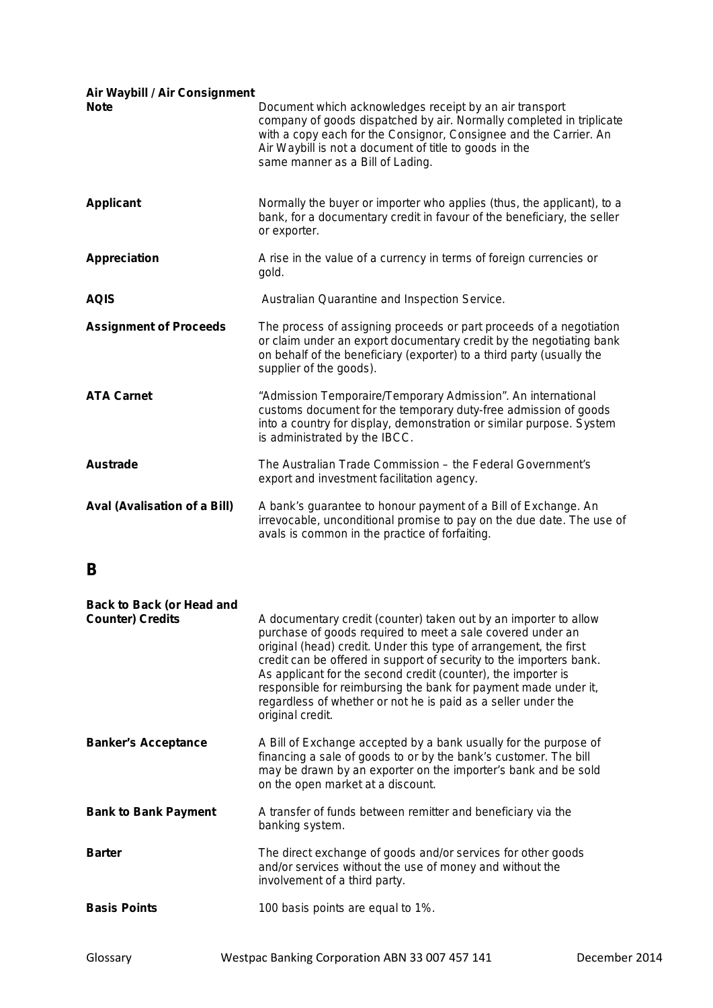| Air Waybill / Air Consignment<br><b>Note</b>                | Document which acknowledges receipt by an air transport<br>company of goods dispatched by air. Normally completed in triplicate<br>with a copy each for the Consignor, Consignee and the Carrier. An<br>Air Waybill is not a document of title to goods in the<br>same manner as a Bill of Lading.                                                                                                                                                                                                  |
|-------------------------------------------------------------|-----------------------------------------------------------------------------------------------------------------------------------------------------------------------------------------------------------------------------------------------------------------------------------------------------------------------------------------------------------------------------------------------------------------------------------------------------------------------------------------------------|
| <b>Applicant</b>                                            | Normally the buyer or importer who applies (thus, the applicant), to a<br>bank, for a documentary credit in favour of the beneficiary, the seller<br>or exporter.                                                                                                                                                                                                                                                                                                                                   |
| <b>Appreciation</b>                                         | A rise in the value of a currency in terms of foreign currencies or<br>gold.                                                                                                                                                                                                                                                                                                                                                                                                                        |
| <b>AQIS</b>                                                 | Australian Quarantine and Inspection Service.                                                                                                                                                                                                                                                                                                                                                                                                                                                       |
| <b>Assignment of Proceeds</b>                               | The process of assigning proceeds or part proceeds of a negotiation<br>or claim under an export documentary credit by the negotiating bank<br>on behalf of the beneficiary (exporter) to a third party (usually the<br>supplier of the goods).                                                                                                                                                                                                                                                      |
| <b>ATA Carnet</b>                                           | "Admission Temporaire/Temporary Admission". An international<br>customs document for the temporary duty-free admission of goods<br>into a country for display, demonstration or similar purpose. System<br>is administrated by the IBCC.                                                                                                                                                                                                                                                            |
| <b>Austrade</b>                                             | The Australian Trade Commission - the Federal Government's<br>export and investment facilitation agency.                                                                                                                                                                                                                                                                                                                                                                                            |
| Aval (Avalisation of a Bill)                                | A bank's guarantee to honour payment of a Bill of Exchange. An<br>irrevocable, unconditional promise to pay on the due date. The use of<br>avals is common in the practice of forfaiting.                                                                                                                                                                                                                                                                                                           |
| В                                                           |                                                                                                                                                                                                                                                                                                                                                                                                                                                                                                     |
| <b>Back to Back (or Head and</b><br><b>Counter) Credits</b> | A documentary credit (counter) taken out by an importer to allow<br>purchase of goods required to meet a sale covered under an<br>original (head) credit. Under this type of arrangement, the first<br>credit can be offered in support of security to the importers bank.<br>As applicant for the second credit (counter), the importer is<br>responsible for reimbursing the bank for payment made under it,<br>regardless of whether or not he is paid as a seller under the<br>original credit. |
| <b>Banker's Acceptance</b>                                  | A Bill of Exchange accepted by a bank usually for the purpose of<br>financing a sale of goods to or by the bank's customer. The bill<br>may be drawn by an exporter on the importer's bank and be sold<br>on the open market at a discount.                                                                                                                                                                                                                                                         |
| <b>Bank to Bank Payment</b>                                 | A transfer of funds between remitter and beneficiary via the<br>banking system.                                                                                                                                                                                                                                                                                                                                                                                                                     |
| <b>Barter</b>                                               | The direct exchange of goods and/or services for other goods<br>and/or services without the use of money and without the<br>involvement of a third party.                                                                                                                                                                                                                                                                                                                                           |
| <b>Basis Points</b>                                         | 100 basis points are equal to 1%.                                                                                                                                                                                                                                                                                                                                                                                                                                                                   |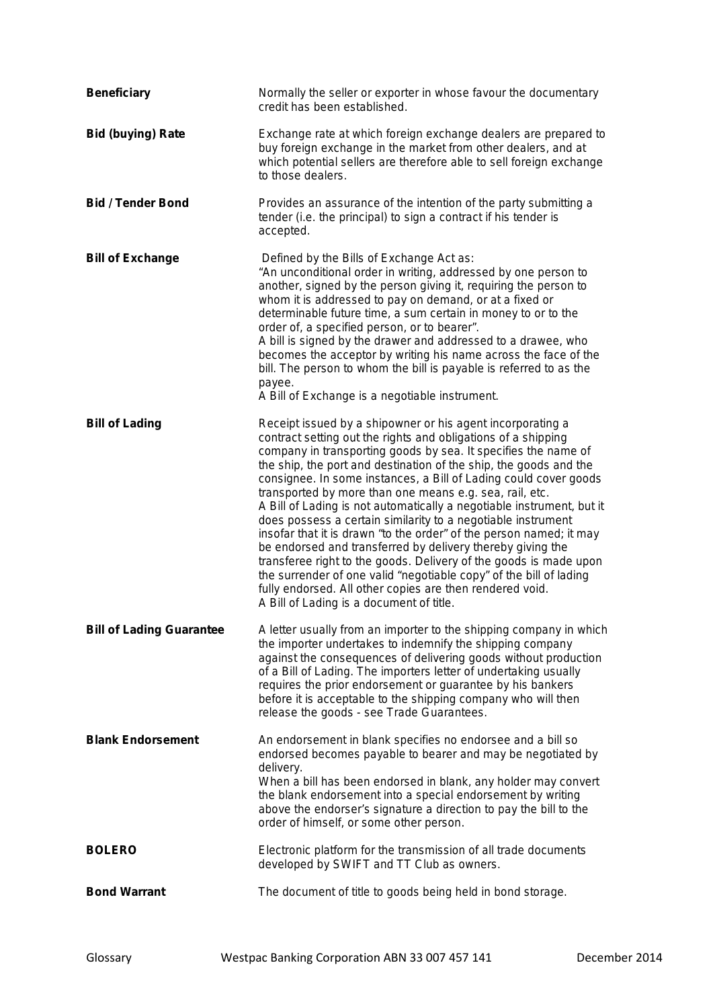| <b>Beneficiary</b>              | Normally the seller or exporter in whose favour the documentary<br>credit has been established.                                                                                                                                                                                                                                                                                                                                                                                                                                                                                                                                                                                                                                                                                                                                                                                                                                    |
|---------------------------------|------------------------------------------------------------------------------------------------------------------------------------------------------------------------------------------------------------------------------------------------------------------------------------------------------------------------------------------------------------------------------------------------------------------------------------------------------------------------------------------------------------------------------------------------------------------------------------------------------------------------------------------------------------------------------------------------------------------------------------------------------------------------------------------------------------------------------------------------------------------------------------------------------------------------------------|
| <b>Bid (buying) Rate</b>        | Exchange rate at which foreign exchange dealers are prepared to<br>buy foreign exchange in the market from other dealers, and at<br>which potential sellers are therefore able to sell foreign exchange<br>to those dealers.                                                                                                                                                                                                                                                                                                                                                                                                                                                                                                                                                                                                                                                                                                       |
| <b>Bid / Tender Bond</b>        | Provides an assurance of the intention of the party submitting a<br>tender (i.e. the principal) to sign a contract if his tender is<br>accepted.                                                                                                                                                                                                                                                                                                                                                                                                                                                                                                                                                                                                                                                                                                                                                                                   |
| <b>Bill of Exchange</b>         | Defined by the Bills of Exchange Act as:<br>"An unconditional order in writing, addressed by one person to<br>another, signed by the person giving it, requiring the person to<br>whom it is addressed to pay on demand, or at a fixed or<br>determinable future time, a sum certain in money to or to the<br>order of, a specified person, or to bearer".<br>A bill is signed by the drawer and addressed to a drawee, who<br>becomes the acceptor by writing his name across the face of the<br>bill. The person to whom the bill is payable is referred to as the<br>payee.<br>A Bill of Exchange is a negotiable instrument.                                                                                                                                                                                                                                                                                                   |
| <b>Bill of Lading</b>           | Receipt issued by a shipowner or his agent incorporating a<br>contract setting out the rights and obligations of a shipping<br>company in transporting goods by sea. It specifies the name of<br>the ship, the port and destination of the ship, the goods and the<br>consignee. In some instances, a Bill of Lading could cover goods<br>transported by more than one means e.g. sea, rail, etc.<br>A Bill of Lading is not automatically a negotiable instrument, but it<br>does possess a certain similarity to a negotiable instrument<br>insofar that it is drawn "to the order" of the person named; it may<br>be endorsed and transferred by delivery thereby giving the<br>transferee right to the goods. Delivery of the goods is made upon<br>the surrender of one valid "negotiable copy" of the bill of lading<br>fully endorsed. All other copies are then rendered void.<br>A Bill of Lading is a document of title. |
| <b>Bill of Lading Guarantee</b> | A letter usually from an importer to the shipping company in which<br>the importer undertakes to indemnify the shipping company<br>against the consequences of delivering goods without production<br>of a Bill of Lading. The importers letter of undertaking usually<br>requires the prior endorsement or guarantee by his bankers<br>before it is acceptable to the shipping company who will then<br>release the goods - see Trade Guarantees.                                                                                                                                                                                                                                                                                                                                                                                                                                                                                 |
| <b>Blank Endorsement</b>        | An endorsement in blank specifies no endorsee and a bill so<br>endorsed becomes payable to bearer and may be negotiated by<br>delivery.<br>When a bill has been endorsed in blank, any holder may convert<br>the blank endorsement into a special endorsement by writing<br>above the endorser's signature a direction to pay the bill to the<br>order of himself, or some other person.                                                                                                                                                                                                                                                                                                                                                                                                                                                                                                                                           |
| <b>BOLERO</b>                   | Electronic platform for the transmission of all trade documents<br>developed by SWIFT and TT Club as owners.                                                                                                                                                                                                                                                                                                                                                                                                                                                                                                                                                                                                                                                                                                                                                                                                                       |
| <b>Bond Warrant</b>             | The document of title to goods being held in bond storage.                                                                                                                                                                                                                                                                                                                                                                                                                                                                                                                                                                                                                                                                                                                                                                                                                                                                         |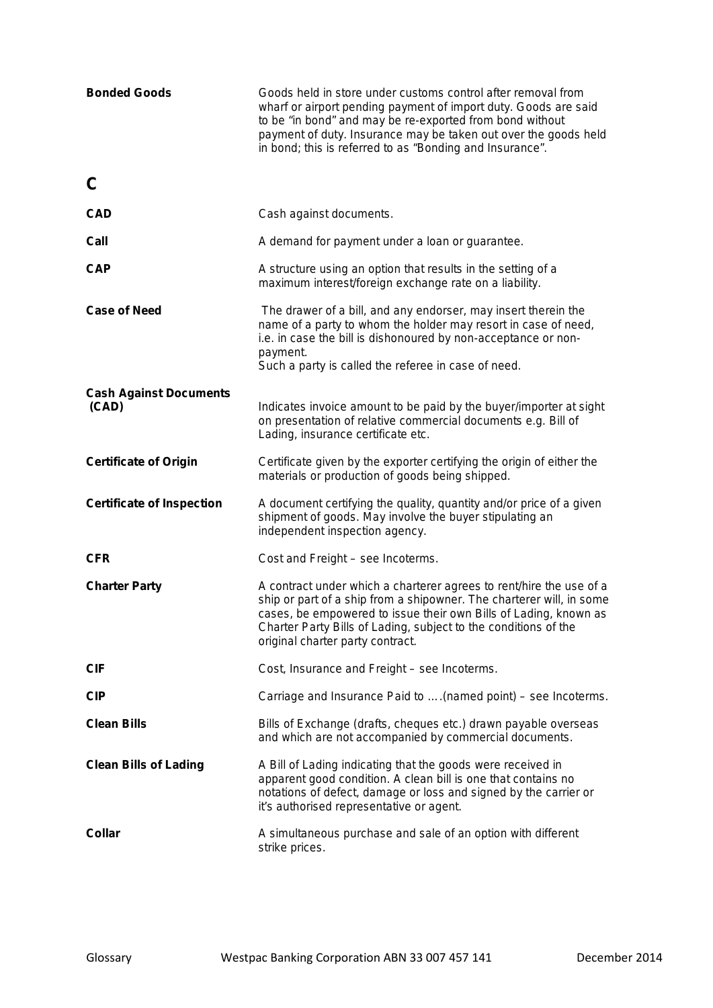| <b>Bonded Goods</b>                    | Goods held in store under customs control after removal from<br>wharf or airport pending payment of import duty. Goods are said<br>to be "in bond" and may be re-exported from bond without<br>payment of duty. Insurance may be taken out over the goods held<br>in bond; this is referred to as "Bonding and Insurance". |
|----------------------------------------|----------------------------------------------------------------------------------------------------------------------------------------------------------------------------------------------------------------------------------------------------------------------------------------------------------------------------|
| C                                      |                                                                                                                                                                                                                                                                                                                            |
| <b>CAD</b>                             | Cash against documents.                                                                                                                                                                                                                                                                                                    |
| Call                                   | A demand for payment under a loan or guarantee.                                                                                                                                                                                                                                                                            |
| <b>CAP</b>                             | A structure using an option that results in the setting of a<br>maximum interest/foreign exchange rate on a liability.                                                                                                                                                                                                     |
| <b>Case of Need</b>                    | The drawer of a bill, and any endorser, may insert therein the<br>name of a party to whom the holder may resort in case of need,<br>i.e. in case the bill is dishonoured by non-acceptance or non-<br>payment.<br>Such a party is called the referee in case of need.                                                      |
| <b>Cash Against Documents</b><br>(CAD) | Indicates invoice amount to be paid by the buyer/importer at sight<br>on presentation of relative commercial documents e.g. Bill of<br>Lading, insurance certificate etc.                                                                                                                                                  |
| <b>Certificate of Origin</b>           | Certificate given by the exporter certifying the origin of either the<br>materials or production of goods being shipped.                                                                                                                                                                                                   |
| <b>Certificate of Inspection</b>       | A document certifying the quality, quantity and/or price of a given<br>shipment of goods. May involve the buyer stipulating an<br>independent inspection agency.                                                                                                                                                           |
| <b>CFR</b>                             | Cost and Freight - see Incoterms.                                                                                                                                                                                                                                                                                          |
| <b>Charter Party</b>                   | A contract under which a charterer agrees to rent/hire the use of a<br>ship or part of a ship from a shipowner. The charterer will, in some<br>cases, be empowered to issue their own Bills of Lading, known as<br>Charter Party Bills of Lading, subject to the conditions of the<br>original charter party contract.     |
| <b>CIF</b>                             | Cost, Insurance and Freight - see Incoterms.                                                                                                                                                                                                                                                                               |
| <b>CIP</b>                             | Carriage and Insurance Paid to (named point) – see Incoterms.                                                                                                                                                                                                                                                              |
| <b>Clean Bills</b>                     | Bills of Exchange (drafts, cheques etc.) drawn payable overseas<br>and which are not accompanied by commercial documents.                                                                                                                                                                                                  |
| <b>Clean Bills of Lading</b>           | A Bill of Lading indicating that the goods were received in<br>apparent good condition. A clean bill is one that contains no<br>notations of defect, damage or loss and signed by the carrier or<br>it's authorised representative or agent.                                                                               |
| Collar                                 | A simultaneous purchase and sale of an option with different<br>strike prices.                                                                                                                                                                                                                                             |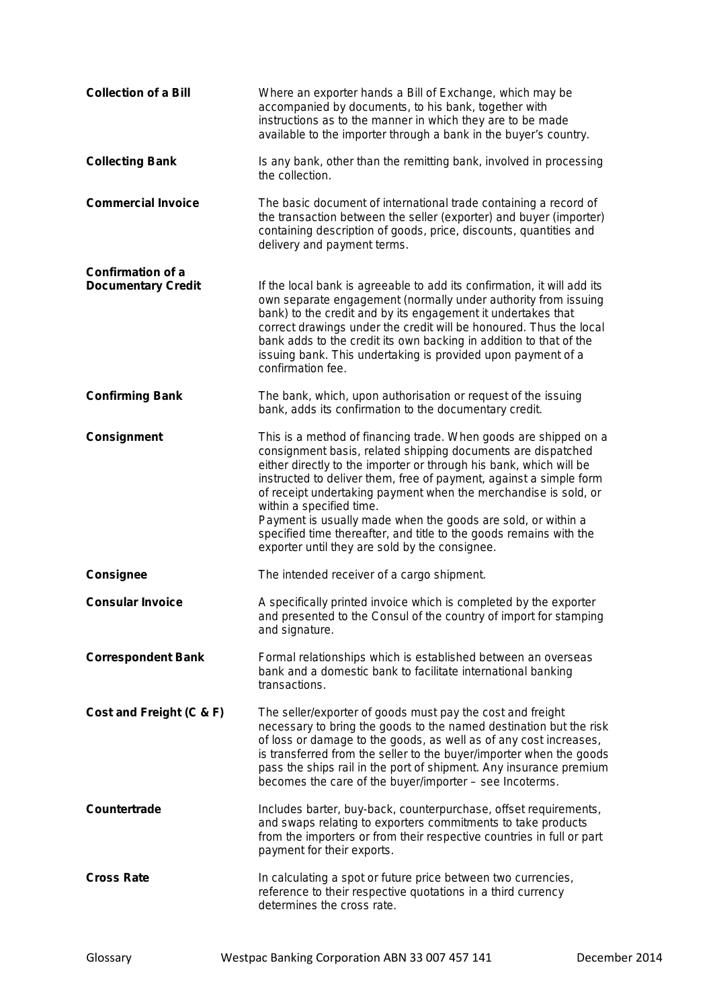| <b>Collection of a Bill</b>                    | Where an exporter hands a Bill of Exchange, which may be<br>accompanied by documents, to his bank, together with<br>instructions as to the manner in which they are to be made<br>available to the importer through a bank in the buyer's country.                                                                                                                                                                                                                                                                                                                  |
|------------------------------------------------|---------------------------------------------------------------------------------------------------------------------------------------------------------------------------------------------------------------------------------------------------------------------------------------------------------------------------------------------------------------------------------------------------------------------------------------------------------------------------------------------------------------------------------------------------------------------|
| <b>Collecting Bank</b>                         | Is any bank, other than the remitting bank, involved in processing<br>the collection.                                                                                                                                                                                                                                                                                                                                                                                                                                                                               |
| <b>Commercial Invoice</b>                      | The basic document of international trade containing a record of<br>the transaction between the seller (exporter) and buyer (importer)<br>containing description of goods, price, discounts, quantities and<br>delivery and payment terms.                                                                                                                                                                                                                                                                                                                          |
| Confirmation of a<br><b>Documentary Credit</b> | If the local bank is agreeable to add its confirmation, it will add its<br>own separate engagement (normally under authority from issuing<br>bank) to the credit and by its engagement it undertakes that<br>correct drawings under the credit will be honoured. Thus the local<br>bank adds to the credit its own backing in addition to that of the<br>issuing bank. This undertaking is provided upon payment of a<br>confirmation fee.                                                                                                                          |
| <b>Confirming Bank</b>                         | The bank, which, upon authorisation or request of the issuing<br>bank, adds its confirmation to the documentary credit.                                                                                                                                                                                                                                                                                                                                                                                                                                             |
| <b>Consignment</b>                             | This is a method of financing trade. When goods are shipped on a<br>consignment basis, related shipping documents are dispatched<br>either directly to the importer or through his bank, which will be<br>instructed to deliver them, free of payment, against a simple form<br>of receipt undertaking payment when the merchandise is sold, or<br>within a specified time.<br>Payment is usually made when the goods are sold, or within a<br>specified time thereafter, and title to the goods remains with the<br>exporter until they are sold by the consignee. |
| <b>Consignee</b>                               | The intended receiver of a cargo shipment.                                                                                                                                                                                                                                                                                                                                                                                                                                                                                                                          |
| <b>Consular Invoice</b>                        | A specifically printed invoice which is completed by the exporter<br>and presented to the Consul of the country of import for stamping<br>and signature.                                                                                                                                                                                                                                                                                                                                                                                                            |
| <b>Correspondent Bank</b>                      | Formal relationships which is established between an overseas<br>bank and a domestic bank to facilitate international banking<br>transactions.                                                                                                                                                                                                                                                                                                                                                                                                                      |
| Cost and Freight (C & F)                       | The seller/exporter of goods must pay the cost and freight<br>necessary to bring the goods to the named destination but the risk<br>of loss or damage to the goods, as well as of any cost increases,<br>is transferred from the seller to the buyer/importer when the goods<br>pass the ships rail in the port of shipment. Any insurance premium<br>becomes the care of the buyer/importer - see Incoterms.                                                                                                                                                       |
| Countertrade                                   | Includes barter, buy-back, counterpurchase, offset requirements,<br>and swaps relating to exporters commitments to take products<br>from the importers or from their respective countries in full or part<br>payment for their exports.                                                                                                                                                                                                                                                                                                                             |
| <b>Cross Rate</b>                              | In calculating a spot or future price between two currencies,<br>reference to their respective quotations in a third currency<br>determines the cross rate.                                                                                                                                                                                                                                                                                                                                                                                                         |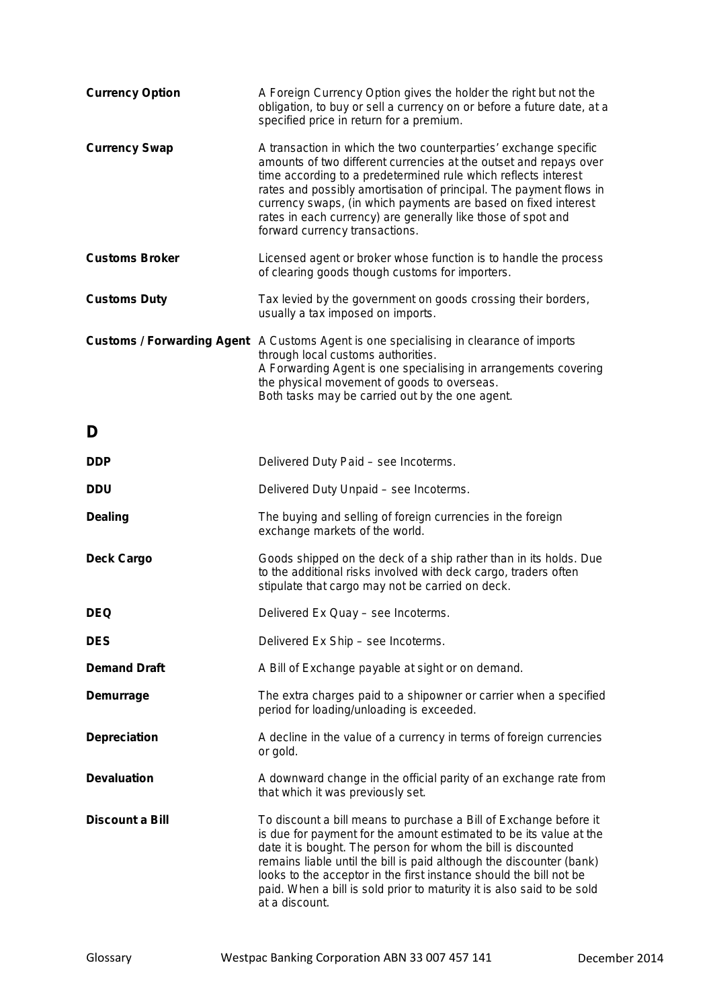| <b>Currency Option</b> | A Foreign Currency Option gives the holder the right but not the<br>obligation, to buy or sell a currency on or before a future date, at a<br>specified price in return for a premium.                                                                                                                                                                                                                                                            |
|------------------------|---------------------------------------------------------------------------------------------------------------------------------------------------------------------------------------------------------------------------------------------------------------------------------------------------------------------------------------------------------------------------------------------------------------------------------------------------|
| <b>Currency Swap</b>   | A transaction in which the two counterparties' exchange specific<br>amounts of two different currencies at the outset and repays over<br>time according to a predetermined rule which reflects interest<br>rates and possibly amortisation of principal. The payment flows in<br>currency swaps, (in which payments are based on fixed interest<br>rates in each currency) are generally like those of spot and<br>forward currency transactions. |
| <b>Customs Broker</b>  | Licensed agent or broker whose function is to handle the process<br>of clearing goods though customs for importers.                                                                                                                                                                                                                                                                                                                               |
| <b>Customs Duty</b>    | Tax levied by the government on goods crossing their borders,<br>usually a tax imposed on imports.                                                                                                                                                                                                                                                                                                                                                |
|                        | <b>Customs / Forwarding Agent</b> A Customs Agent is one specialising in clearance of imports<br>through local customs authorities.<br>A Forwarding Agent is one specialising in arrangements covering<br>the physical movement of goods to overseas.<br>Both tasks may be carried out by the one agent.                                                                                                                                          |

**D** 

| <b>DDP</b>             | Delivered Duty Paid - see Incoterms.                                                                                                                                                                                                                                                                                                                                                                                                               |
|------------------------|----------------------------------------------------------------------------------------------------------------------------------------------------------------------------------------------------------------------------------------------------------------------------------------------------------------------------------------------------------------------------------------------------------------------------------------------------|
| <b>DDU</b>             | Delivered Duty Unpaid - see Incoterms.                                                                                                                                                                                                                                                                                                                                                                                                             |
| <b>Dealing</b>         | The buying and selling of foreign currencies in the foreign<br>exchange markets of the world.                                                                                                                                                                                                                                                                                                                                                      |
| <b>Deck Cargo</b>      | Goods shipped on the deck of a ship rather than in its holds. Due<br>to the additional risks involved with deck cargo, traders often<br>stipulate that cargo may not be carried on deck.                                                                                                                                                                                                                                                           |
| <b>DEQ</b>             | Delivered Ex Quay - see Incoterms.                                                                                                                                                                                                                                                                                                                                                                                                                 |
| <b>DES</b>             | Delivered Ex Ship - see Incoterms.                                                                                                                                                                                                                                                                                                                                                                                                                 |
| <b>Demand Draft</b>    | A Bill of Exchange payable at sight or on demand.                                                                                                                                                                                                                                                                                                                                                                                                  |
| <b>Demurrage</b>       | The extra charges paid to a shipowner or carrier when a specified<br>period for loading/unloading is exceeded.                                                                                                                                                                                                                                                                                                                                     |
| <b>Depreciation</b>    | A decline in the value of a currency in terms of foreign currencies<br>or gold.                                                                                                                                                                                                                                                                                                                                                                    |
| <b>Devaluation</b>     | A downward change in the official parity of an exchange rate from<br>that which it was previously set.                                                                                                                                                                                                                                                                                                                                             |
| <b>Discount a Bill</b> | To discount a bill means to purchase a Bill of Exchange before it<br>is due for payment for the amount estimated to be its value at the<br>date it is bought. The person for whom the bill is discounted<br>remains liable until the bill is paid although the discounter (bank)<br>looks to the acceptor in the first instance should the bill not be<br>paid. When a bill is sold prior to maturity it is also said to be sold<br>at a discount. |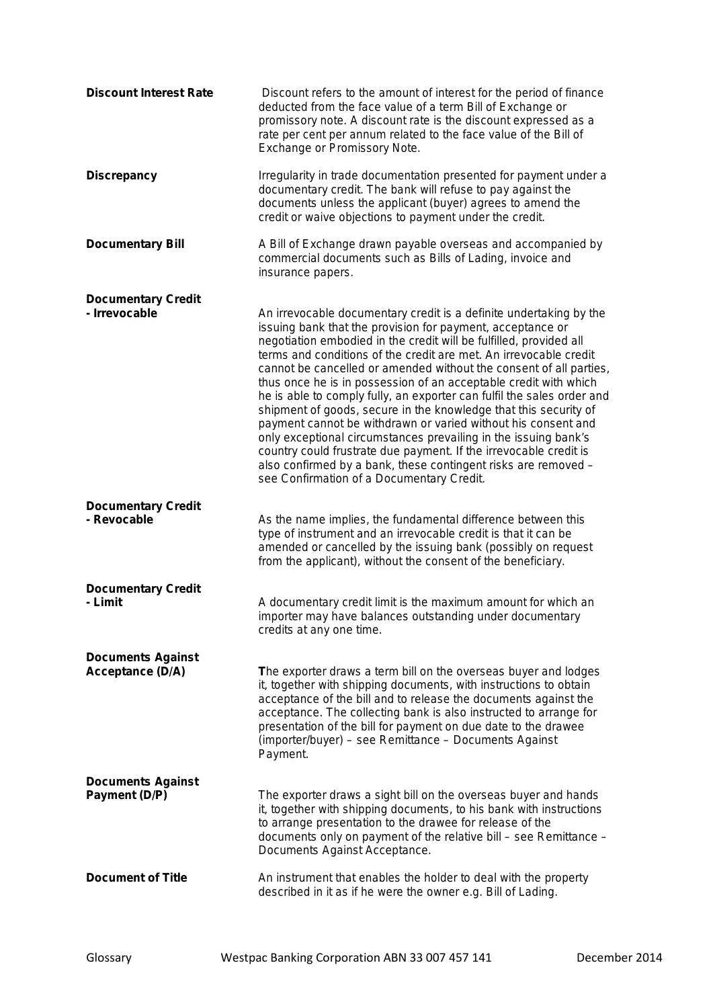| <b>Discount Interest Rate</b>                | Discount refers to the amount of interest for the period of finance<br>deducted from the face value of a term Bill of Exchange or<br>promissory note. A discount rate is the discount expressed as a<br>rate per cent per annum related to the face value of the Bill of<br>Exchange or Promissory Note.                                                                                                                                                                                                                                                                                                                                                                                                                                                                                                                                                                                    |
|----------------------------------------------|---------------------------------------------------------------------------------------------------------------------------------------------------------------------------------------------------------------------------------------------------------------------------------------------------------------------------------------------------------------------------------------------------------------------------------------------------------------------------------------------------------------------------------------------------------------------------------------------------------------------------------------------------------------------------------------------------------------------------------------------------------------------------------------------------------------------------------------------------------------------------------------------|
| <b>Discrepancy</b>                           | Irregularity in trade documentation presented for payment under a<br>documentary credit. The bank will refuse to pay against the<br>documents unless the applicant (buyer) agrees to amend the<br>credit or waive objections to payment under the credit.                                                                                                                                                                                                                                                                                                                                                                                                                                                                                                                                                                                                                                   |
| <b>Documentary Bill</b>                      | A Bill of Exchange drawn payable overseas and accompanied by<br>commercial documents such as Bills of Lading, invoice and<br>insurance papers.                                                                                                                                                                                                                                                                                                                                                                                                                                                                                                                                                                                                                                                                                                                                              |
| <b>Documentary Credit</b><br>- Irrevocable   | An irrevocable documentary credit is a definite undertaking by the<br>issuing bank that the provision for payment, acceptance or<br>negotiation embodied in the credit will be fulfilled, provided all<br>terms and conditions of the credit are met. An irrevocable credit<br>cannot be cancelled or amended without the consent of all parties,<br>thus once he is in possession of an acceptable credit with which<br>he is able to comply fully, an exporter can fulfil the sales order and<br>shipment of goods, secure in the knowledge that this security of<br>payment cannot be withdrawn or varied without his consent and<br>only exceptional circumstances prevailing in the issuing bank's<br>country could frustrate due payment. If the irrevocable credit is<br>also confirmed by a bank, these contingent risks are removed -<br>see Confirmation of a Documentary Credit. |
| <b>Documentary Credit</b><br>- Revocable     | As the name implies, the fundamental difference between this<br>type of instrument and an irrevocable credit is that it can be<br>amended or cancelled by the issuing bank (possibly on request<br>from the applicant), without the consent of the beneficiary.                                                                                                                                                                                                                                                                                                                                                                                                                                                                                                                                                                                                                             |
| <b>Documentary Credit</b><br>- Limit         | A documentary credit limit is the maximum amount for which an<br>importer may have balances outstanding under documentary<br>credits at any one time.                                                                                                                                                                                                                                                                                                                                                                                                                                                                                                                                                                                                                                                                                                                                       |
| <b>Documents Against</b><br>Acceptance (D/A) | The exporter draws a term bill on the overseas buyer and lodges<br>it, together with shipping documents, with instructions to obtain<br>acceptance of the bill and to release the documents against the<br>acceptance. The collecting bank is also instructed to arrange for<br>presentation of the bill for payment on due date to the drawee<br>(importer/buyer) - see Remittance - Documents Against<br>Payment.                                                                                                                                                                                                                                                                                                                                                                                                                                                                         |
| <b>Documents Against</b><br>Payment (D/P)    | The exporter draws a sight bill on the overseas buyer and hands<br>it, together with shipping documents, to his bank with instructions<br>to arrange presentation to the drawee for release of the<br>documents only on payment of the relative bill - see Remittance -<br>Documents Against Acceptance.                                                                                                                                                                                                                                                                                                                                                                                                                                                                                                                                                                                    |
| <b>Document of Title</b>                     | An instrument that enables the holder to deal with the property<br>described in it as if he were the owner e.g. Bill of Lading.                                                                                                                                                                                                                                                                                                                                                                                                                                                                                                                                                                                                                                                                                                                                                             |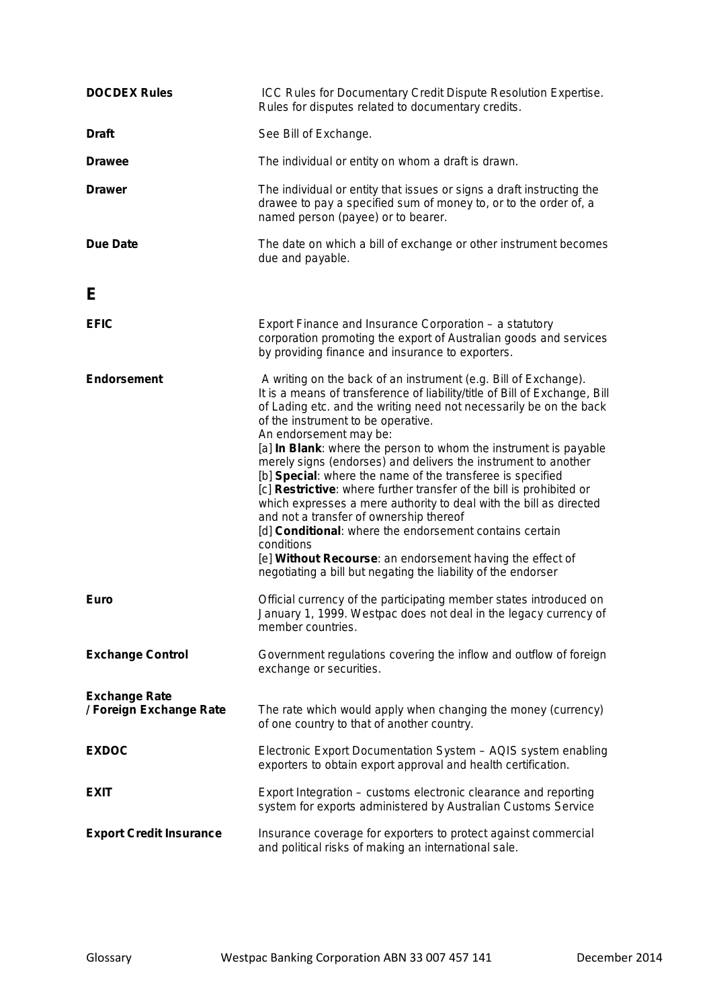| <b>DOCDEX Rules</b>                             | ICC Rules for Documentary Credit Dispute Resolution Expertise.<br>Rules for disputes related to documentary credits.                                                                                                                                                                                                                                                                                                                                                                                                                                                                                                                                                                                                                                                                                                                                                                    |
|-------------------------------------------------|-----------------------------------------------------------------------------------------------------------------------------------------------------------------------------------------------------------------------------------------------------------------------------------------------------------------------------------------------------------------------------------------------------------------------------------------------------------------------------------------------------------------------------------------------------------------------------------------------------------------------------------------------------------------------------------------------------------------------------------------------------------------------------------------------------------------------------------------------------------------------------------------|
| <b>Draft</b>                                    | See Bill of Exchange.                                                                                                                                                                                                                                                                                                                                                                                                                                                                                                                                                                                                                                                                                                                                                                                                                                                                   |
| <b>Drawee</b>                                   | The individual or entity on whom a draft is drawn.                                                                                                                                                                                                                                                                                                                                                                                                                                                                                                                                                                                                                                                                                                                                                                                                                                      |
| <b>Drawer</b>                                   | The individual or entity that issues or signs a draft instructing the<br>drawee to pay a specified sum of money to, or to the order of, a<br>named person (payee) or to bearer.                                                                                                                                                                                                                                                                                                                                                                                                                                                                                                                                                                                                                                                                                                         |
| <b>Due Date</b>                                 | The date on which a bill of exchange or other instrument becomes<br>due and payable.                                                                                                                                                                                                                                                                                                                                                                                                                                                                                                                                                                                                                                                                                                                                                                                                    |
| Е                                               |                                                                                                                                                                                                                                                                                                                                                                                                                                                                                                                                                                                                                                                                                                                                                                                                                                                                                         |
| <b>EFIC</b>                                     | Export Finance and Insurance Corporation - a statutory<br>corporation promoting the export of Australian goods and services<br>by providing finance and insurance to exporters.                                                                                                                                                                                                                                                                                                                                                                                                                                                                                                                                                                                                                                                                                                         |
| <b>Endorsement</b>                              | A writing on the back of an instrument (e.g. Bill of Exchange).<br>It is a means of transference of liability/title of Bill of Exchange, Bill<br>of Lading etc. and the writing need not necessarily be on the back<br>of the instrument to be operative.<br>An endorsement may be:<br>[a] In Blank: where the person to whom the instrument is payable<br>merely signs (endorses) and delivers the instrument to another<br>[b] Special: where the name of the transferee is specified<br>[c] Restrictive: where further transfer of the bill is prohibited or<br>which expresses a mere authority to deal with the bill as directed<br>and not a transfer of ownership thereof<br>[d] Conditional: where the endorsement contains certain<br>conditions<br>[e] Without Recourse: an endorsement having the effect of<br>negotiating a bill but negating the liability of the endorser |
| <b>Euro</b>                                     | Official currency of the participating member states introduced on<br>January 1, 1999. Westpac does not deal in the legacy currency of<br>member countries.                                                                                                                                                                                                                                                                                                                                                                                                                                                                                                                                                                                                                                                                                                                             |
| <b>Exchange Control</b>                         | Government regulations covering the inflow and outflow of foreign<br>exchange or securities.                                                                                                                                                                                                                                                                                                                                                                                                                                                                                                                                                                                                                                                                                                                                                                                            |
| <b>Exchange Rate</b><br>/ Foreign Exchange Rate | The rate which would apply when changing the money (currency)<br>of one country to that of another country.                                                                                                                                                                                                                                                                                                                                                                                                                                                                                                                                                                                                                                                                                                                                                                             |
| <b>EXDOC</b>                                    | Electronic Export Documentation System - AQIS system enabling<br>exporters to obtain export approval and health certification.                                                                                                                                                                                                                                                                                                                                                                                                                                                                                                                                                                                                                                                                                                                                                          |
| <b>EXIT</b>                                     | Export Integration – customs electronic clearance and reporting<br>system for exports administered by Australian Customs Service                                                                                                                                                                                                                                                                                                                                                                                                                                                                                                                                                                                                                                                                                                                                                        |
| <b>Export Credit Insurance</b>                  | Insurance coverage for exporters to protect against commercial<br>and political risks of making an international sale.                                                                                                                                                                                                                                                                                                                                                                                                                                                                                                                                                                                                                                                                                                                                                                  |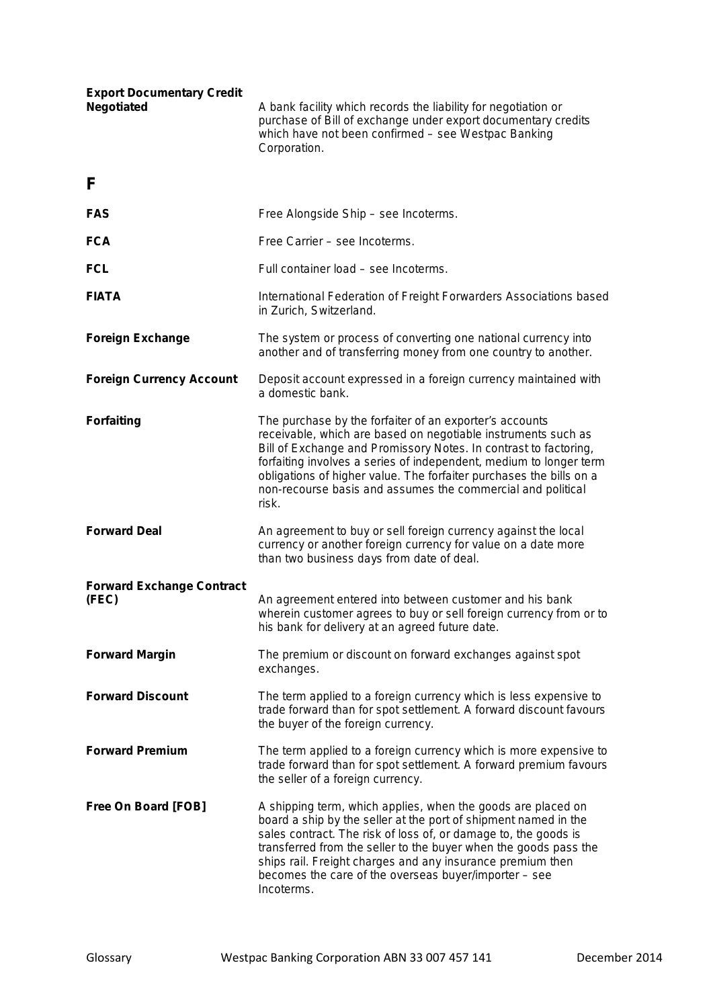| <b>Export Documentary Credit</b><br><b>Negotiated</b> | A bank facility which records the liability for negotiation or<br>purchase of Bill of exchange under export documentary credits<br>which have not been confirmed - see Westpac Banking<br>Corporation.                                                                                                                                                                                                            |
|-------------------------------------------------------|-------------------------------------------------------------------------------------------------------------------------------------------------------------------------------------------------------------------------------------------------------------------------------------------------------------------------------------------------------------------------------------------------------------------|
| F                                                     |                                                                                                                                                                                                                                                                                                                                                                                                                   |
| <b>FAS</b>                                            | Free Alongside Ship - see Incoterms.                                                                                                                                                                                                                                                                                                                                                                              |
| <b>FCA</b>                                            | Free Carrier - see Incoterms.                                                                                                                                                                                                                                                                                                                                                                                     |
| <b>FCL</b>                                            | Full container load - see Incoterms.                                                                                                                                                                                                                                                                                                                                                                              |
| <b>FIATA</b>                                          | International Federation of Freight Forwarders Associations based<br>in Zurich, Switzerland.                                                                                                                                                                                                                                                                                                                      |
| <b>Foreign Exchange</b>                               | The system or process of converting one national currency into<br>another and of transferring money from one country to another.                                                                                                                                                                                                                                                                                  |
| <b>Foreign Currency Account</b>                       | Deposit account expressed in a foreign currency maintained with<br>a domestic bank.                                                                                                                                                                                                                                                                                                                               |
| <b>Forfaiting</b>                                     | The purchase by the forfaiter of an exporter's accounts<br>receivable, which are based on negotiable instruments such as<br>Bill of Exchange and Promissory Notes. In contrast to factoring,<br>forfaiting involves a series of independent, medium to longer term<br>obligations of higher value. The forfaiter purchases the bills on a<br>non-recourse basis and assumes the commercial and political<br>risk. |
| <b>Forward Deal</b>                                   | An agreement to buy or sell foreign currency against the local<br>currency or another foreign currency for value on a date more<br>than two business days from date of deal.                                                                                                                                                                                                                                      |
| <b>Forward Exchange Contract</b><br>(FEC)             | An agreement entered into between customer and his bank<br>wherein customer agrees to buy or sell foreign currency from or to<br>his bank for delivery at an agreed future date.                                                                                                                                                                                                                                  |
| <b>Forward Margin</b>                                 | The premium or discount on forward exchanges against spot<br>exchanges.                                                                                                                                                                                                                                                                                                                                           |
| <b>Forward Discount</b>                               | The term applied to a foreign currency which is less expensive to<br>trade forward than for spot settlement. A forward discount favours<br>the buyer of the foreign currency.                                                                                                                                                                                                                                     |
| <b>Forward Premium</b>                                | The term applied to a foreign currency which is more expensive to<br>trade forward than for spot settlement. A forward premium favours<br>the seller of a foreign currency.                                                                                                                                                                                                                                       |
| Free On Board [FOB]                                   | A shipping term, which applies, when the goods are placed on<br>board a ship by the seller at the port of shipment named in the<br>sales contract. The risk of loss of, or damage to, the goods is<br>transferred from the seller to the buyer when the goods pass the<br>ships rail. Freight charges and any insurance premium then<br>becomes the care of the overseas buyer/importer - see<br>Incoterms.       |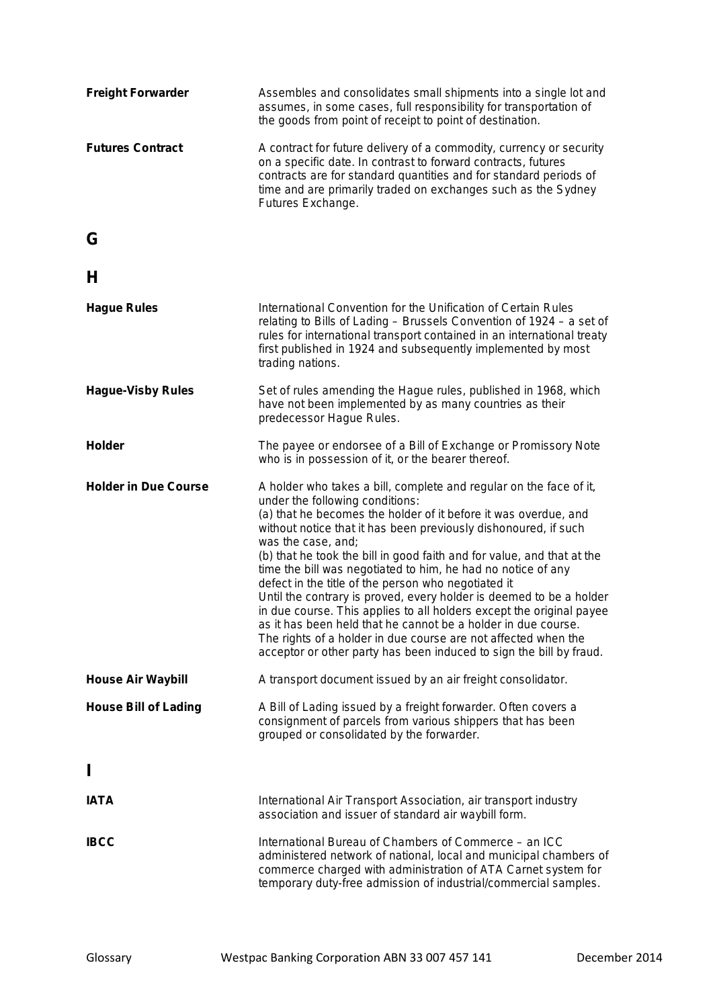| <b>Freight Forwarder</b>    | Assembles and consolidates small shipments into a single lot and<br>assumes, in some cases, full responsibility for transportation of<br>the goods from point of receipt to point of destination.                                                                                                                                                                                                                                                                                                                                                                                                                                                                                                                                                                                                                           |
|-----------------------------|-----------------------------------------------------------------------------------------------------------------------------------------------------------------------------------------------------------------------------------------------------------------------------------------------------------------------------------------------------------------------------------------------------------------------------------------------------------------------------------------------------------------------------------------------------------------------------------------------------------------------------------------------------------------------------------------------------------------------------------------------------------------------------------------------------------------------------|
| <b>Futures Contract</b>     | A contract for future delivery of a commodity, currency or security<br>on a specific date. In contrast to forward contracts, futures<br>contracts are for standard quantities and for standard periods of<br>time and are primarily traded on exchanges such as the Sydney<br>Futures Exchange.                                                                                                                                                                                                                                                                                                                                                                                                                                                                                                                             |
| G                           |                                                                                                                                                                                                                                                                                                                                                                                                                                                                                                                                                                                                                                                                                                                                                                                                                             |
| Н                           |                                                                                                                                                                                                                                                                                                                                                                                                                                                                                                                                                                                                                                                                                                                                                                                                                             |
| <b>Hague Rules</b>          | International Convention for the Unification of Certain Rules<br>relating to Bills of Lading - Brussels Convention of 1924 - a set of<br>rules for international transport contained in an international treaty<br>first published in 1924 and subsequently implemented by most<br>trading nations.                                                                                                                                                                                                                                                                                                                                                                                                                                                                                                                         |
| <b>Hague-Visby Rules</b>    | Set of rules amending the Hague rules, published in 1968, which<br>have not been implemented by as many countries as their<br>predecessor Hague Rules.                                                                                                                                                                                                                                                                                                                                                                                                                                                                                                                                                                                                                                                                      |
| <b>Holder</b>               | The payee or endorsee of a Bill of Exchange or Promissory Note<br>who is in possession of it, or the bearer thereof.                                                                                                                                                                                                                                                                                                                                                                                                                                                                                                                                                                                                                                                                                                        |
| <b>Holder in Due Course</b> | A holder who takes a bill, complete and regular on the face of it,<br>under the following conditions:<br>(a) that he becomes the holder of it before it was overdue, and<br>without notice that it has been previously dishonoured, if such<br>was the case, and;<br>(b) that he took the bill in good faith and for value, and that at the<br>time the bill was negotiated to him, he had no notice of any<br>defect in the title of the person who negotiated it<br>Until the contrary is proved, every holder is deemed to be a holder<br>in due course. This applies to all holders except the original payee<br>as it has been held that he cannot be a holder in due course.<br>The rights of a holder in due course are not affected when the<br>acceptor or other party has been induced to sign the bill by fraud. |
| <b>House Air Waybill</b>    | A transport document issued by an air freight consolidator.                                                                                                                                                                                                                                                                                                                                                                                                                                                                                                                                                                                                                                                                                                                                                                 |
| <b>House Bill of Lading</b> | A Bill of Lading issued by a freight forwarder. Often covers a<br>consignment of parcels from various shippers that has been<br>grouped or consolidated by the forwarder.                                                                                                                                                                                                                                                                                                                                                                                                                                                                                                                                                                                                                                                   |
|                             |                                                                                                                                                                                                                                                                                                                                                                                                                                                                                                                                                                                                                                                                                                                                                                                                                             |
| <b>IATA</b>                 | International Air Transport Association, air transport industry<br>association and issuer of standard air waybill form.                                                                                                                                                                                                                                                                                                                                                                                                                                                                                                                                                                                                                                                                                                     |
| <b>IBCC</b>                 | International Bureau of Chambers of Commerce - an ICC<br>administered network of national, local and municipal chambers of<br>commerce charged with administration of ATA Carnet system for<br>temporary duty-free admission of industrial/commercial samples.                                                                                                                                                                                                                                                                                                                                                                                                                                                                                                                                                              |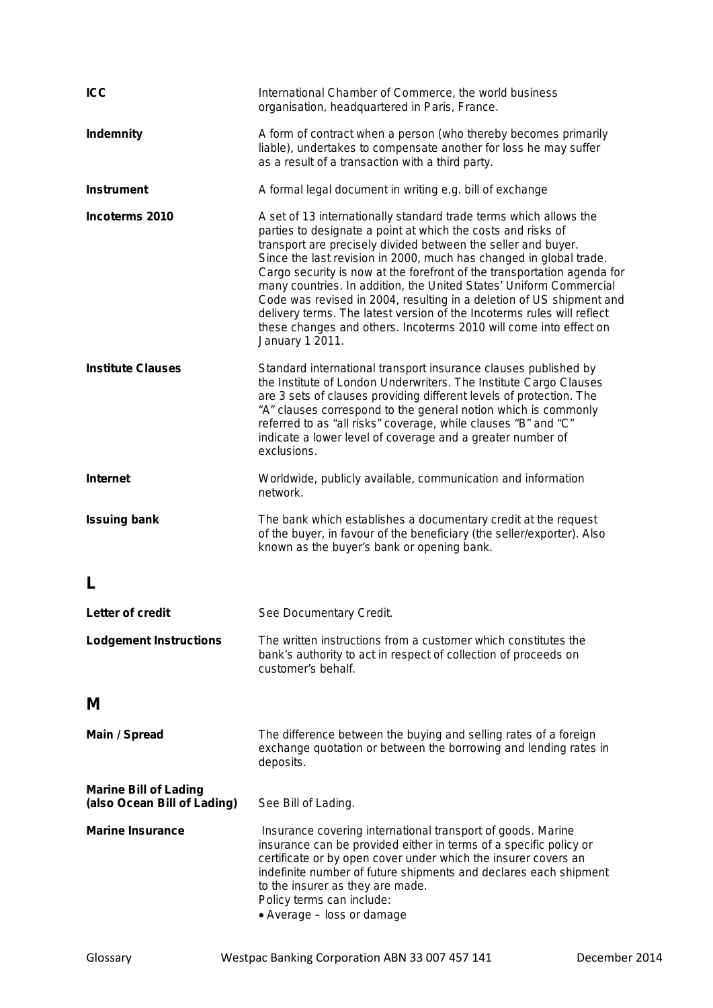| <b>ICC</b>                                                  | International Chamber of Commerce, the world business<br>organisation, headquartered in Paris, France.                                                                                                                                                                                                                                                                                                                                                                                                                                                                                                                                                              |
|-------------------------------------------------------------|---------------------------------------------------------------------------------------------------------------------------------------------------------------------------------------------------------------------------------------------------------------------------------------------------------------------------------------------------------------------------------------------------------------------------------------------------------------------------------------------------------------------------------------------------------------------------------------------------------------------------------------------------------------------|
| <b>Indemnity</b>                                            | A form of contract when a person (who thereby becomes primarily<br>liable), undertakes to compensate another for loss he may suffer<br>as a result of a transaction with a third party.                                                                                                                                                                                                                                                                                                                                                                                                                                                                             |
| <b>Instrument</b>                                           | A formal legal document in writing e.g. bill of exchange                                                                                                                                                                                                                                                                                                                                                                                                                                                                                                                                                                                                            |
| Incoterms 2010                                              | A set of 13 internationally standard trade terms which allows the<br>parties to designate a point at which the costs and risks of<br>transport are precisely divided between the seller and buyer.<br>Since the last revision in 2000, much has changed in global trade.<br>Cargo security is now at the forefront of the transportation agenda for<br>many countries. In addition, the United States' Uniform Commercial<br>Code was revised in 2004, resulting in a deletion of US shipment and<br>delivery terms. The latest version of the Incoterms rules will reflect<br>these changes and others. Incoterms 2010 will come into effect on<br>January 1 2011. |
| <b>Institute Clauses</b>                                    | Standard international transport insurance clauses published by<br>the Institute of London Underwriters. The Institute Cargo Clauses<br>are 3 sets of clauses providing different levels of protection. The<br>"A" clauses correspond to the general notion which is commonly<br>referred to as "all risks" coverage, while clauses "B" and "C"<br>indicate a lower level of coverage and a greater number of<br>exclusions.                                                                                                                                                                                                                                        |
| <b>Internet</b>                                             | Worldwide, publicly available, communication and information<br>network.                                                                                                                                                                                                                                                                                                                                                                                                                                                                                                                                                                                            |
| <b>Issuing bank</b>                                         | The bank which establishes a documentary credit at the request<br>of the buyer, in favour of the beneficiary (the seller/exporter). Also<br>known as the buyer's bank or opening bank.                                                                                                                                                                                                                                                                                                                                                                                                                                                                              |
| L                                                           |                                                                                                                                                                                                                                                                                                                                                                                                                                                                                                                                                                                                                                                                     |
| Letter of credit                                            | See Documentary Credit.                                                                                                                                                                                                                                                                                                                                                                                                                                                                                                                                                                                                                                             |
| <b>Lodgement Instructions</b>                               | The written instructions from a customer which constitutes the<br>bank's authority to act in respect of collection of proceeds on<br>customer's behalf.                                                                                                                                                                                                                                                                                                                                                                                                                                                                                                             |
| Μ                                                           |                                                                                                                                                                                                                                                                                                                                                                                                                                                                                                                                                                                                                                                                     |
| Main / Spread                                               | The difference between the buying and selling rates of a foreign<br>exchange quotation or between the borrowing and lending rates in<br>deposits.                                                                                                                                                                                                                                                                                                                                                                                                                                                                                                                   |
| <b>Marine Bill of Lading</b><br>(also Ocean Bill of Lading) | See Bill of Lading.                                                                                                                                                                                                                                                                                                                                                                                                                                                                                                                                                                                                                                                 |
| <b>Marine Insurance</b>                                     | Insurance covering international transport of goods. Marine<br>insurance can be provided either in terms of a specific policy or<br>certificate or by open cover under which the insurer covers an<br>indefinite number of future shipments and declares each shipment<br>to the insurer as they are made.<br>Policy terms can include:<br>• Average – loss or damage                                                                                                                                                                                                                                                                                               |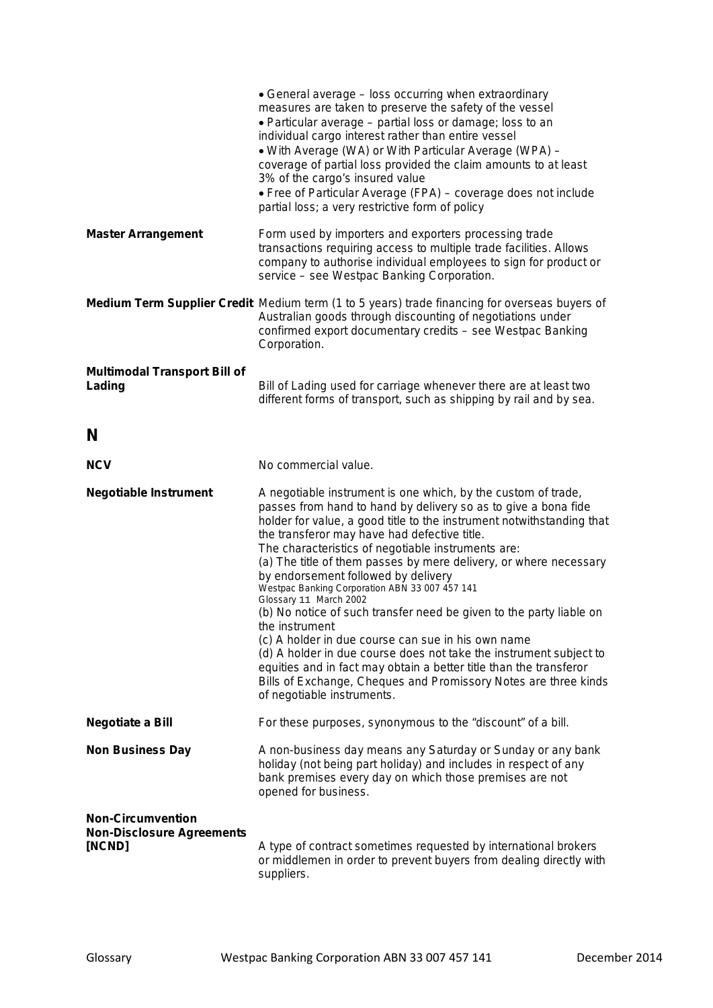|                                                                        | • General average – loss occurring when extraordinary<br>measures are taken to preserve the safety of the vessel<br>• Particular average – partial loss or damage; loss to an<br>individual cargo interest rather than entire vessel<br>• With Average (WA) or With Particular Average (WPA) -<br>coverage of partial loss provided the claim amounts to at least<br>3% of the cargo's insured value<br>• Free of Particular Average (FPA) – coverage does not include<br>partial loss; a very restrictive form of policy                                                                       |
|------------------------------------------------------------------------|-------------------------------------------------------------------------------------------------------------------------------------------------------------------------------------------------------------------------------------------------------------------------------------------------------------------------------------------------------------------------------------------------------------------------------------------------------------------------------------------------------------------------------------------------------------------------------------------------|
| <b>Master Arrangement</b>                                              | Form used by importers and exporters processing trade<br>transactions requiring access to multiple trade facilities. Allows<br>company to authorise individual employees to sign for product or<br>service - see Westpac Banking Corporation.                                                                                                                                                                                                                                                                                                                                                   |
|                                                                        | Medium Term Supplier Credit Medium term (1 to 5 years) trade financing for overseas buyers of<br>Australian goods through discounting of negotiations under<br>confirmed export documentary credits - see Westpac Banking<br>Corporation.                                                                                                                                                                                                                                                                                                                                                       |
| <b>Multimodal Transport Bill of</b><br>Lading                          | Bill of Lading used for carriage whenever there are at least two<br>different forms of transport, such as shipping by rail and by sea.                                                                                                                                                                                                                                                                                                                                                                                                                                                          |
| N                                                                      |                                                                                                                                                                                                                                                                                                                                                                                                                                                                                                                                                                                                 |
| <b>NCV</b>                                                             | No commercial value.                                                                                                                                                                                                                                                                                                                                                                                                                                                                                                                                                                            |
| <b>Negotiable Instrument</b>                                           | A negotiable instrument is one which, by the custom of trade,<br>passes from hand to hand by delivery so as to give a bona fide<br>holder for value, a good title to the instrument notwithstanding that<br>the transferor may have had defective title.<br>The characteristics of negotiable instruments are:<br>(a) The title of them passes by mere delivery, or where necessary<br>by endorsement followed by delivery<br>Westpac Banking Corporation ABN 33 007 457 141<br>Glossary 11 March 2002<br>(b) No notice of such transfer need be given to the party liable on<br>the instrument |
|                                                                        | (c) A holder in due course can sue in his own name<br>(d) A holder in due course does not take the instrument subject to<br>equities and in fact may obtain a better title than the transferor<br>Bills of Exchange, Cheques and Promissory Notes are three kinds<br>of negotiable instruments.                                                                                                                                                                                                                                                                                                 |
| <b>Negotiate a Bill</b>                                                | For these purposes, synonymous to the "discount" of a bill.                                                                                                                                                                                                                                                                                                                                                                                                                                                                                                                                     |
| <b>Non Business Day</b>                                                | A non-business day means any Saturday or Sunday or any bank<br>holiday (not being part holiday) and includes in respect of any<br>bank premises every day on which those premises are not<br>opened for business.                                                                                                                                                                                                                                                                                                                                                                               |
| <b>Non-Circumvention</b><br><b>Non-Disclosure Agreements</b><br>[NCND] | A type of contract sometimes requested by international brokers<br>or middlemen in order to prevent buyers from dealing directly with<br>suppliers.                                                                                                                                                                                                                                                                                                                                                                                                                                             |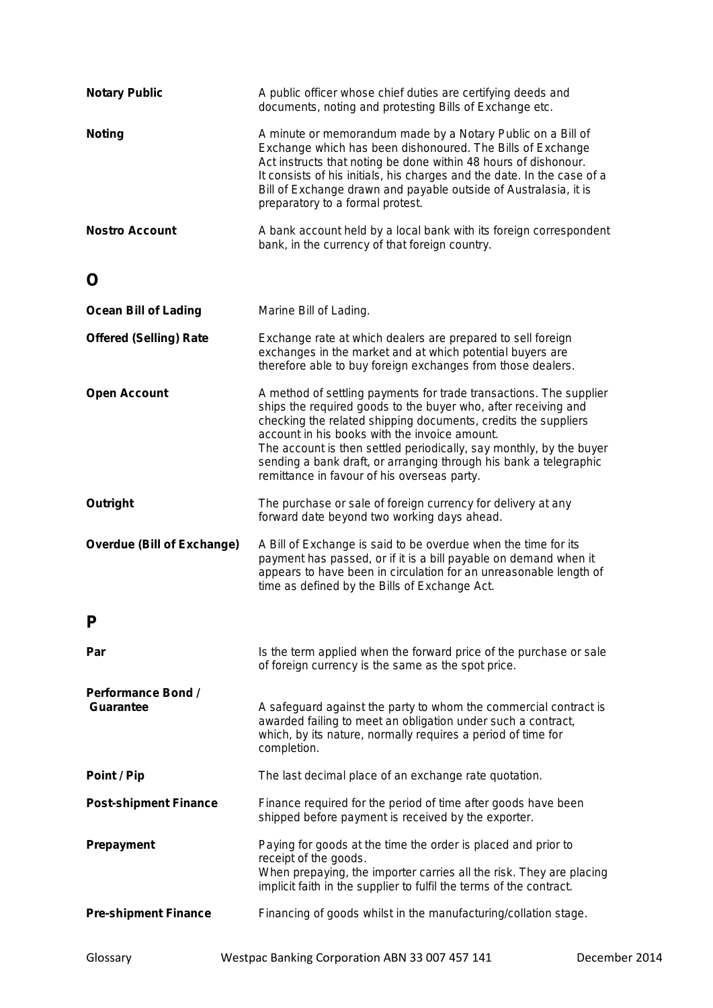| <b>Notary Public</b>                   | A public officer whose chief duties are certifying deeds and<br>documents, noting and protesting Bills of Exchange etc.                                                                                                                                                                                                                                                                                                                            |
|----------------------------------------|----------------------------------------------------------------------------------------------------------------------------------------------------------------------------------------------------------------------------------------------------------------------------------------------------------------------------------------------------------------------------------------------------------------------------------------------------|
| <b>Noting</b>                          | A minute or memorandum made by a Notary Public on a Bill of<br>Exchange which has been dishonoured. The Bills of Exchange<br>Act instructs that noting be done within 48 hours of dishonour.<br>It consists of his initials, his charges and the date. In the case of a<br>Bill of Exchange drawn and payable outside of Australasia, it is<br>preparatory to a formal protest.                                                                    |
| <b>Nostro Account</b>                  | A bank account held by a local bank with its foreign correspondent<br>bank, in the currency of that foreign country.                                                                                                                                                                                                                                                                                                                               |
| O                                      |                                                                                                                                                                                                                                                                                                                                                                                                                                                    |
| <b>Ocean Bill of Lading</b>            | Marine Bill of Lading.                                                                                                                                                                                                                                                                                                                                                                                                                             |
| <b>Offered (Selling) Rate</b>          | Exchange rate at which dealers are prepared to sell foreign<br>exchanges in the market and at which potential buyers are<br>therefore able to buy foreign exchanges from those dealers.                                                                                                                                                                                                                                                            |
| <b>Open Account</b>                    | A method of settling payments for trade transactions. The supplier<br>ships the required goods to the buyer who, after receiving and<br>checking the related shipping documents, credits the suppliers<br>account in his books with the invoice amount.<br>The account is then settled periodically, say monthly, by the buyer<br>sending a bank draft, or arranging through his bank a telegraphic<br>remittance in favour of his overseas party. |
| Outright                               | The purchase or sale of foreign currency for delivery at any<br>forward date beyond two working days ahead.                                                                                                                                                                                                                                                                                                                                        |
| <b>Overdue (Bill of Exchange)</b>      | A Bill of Exchange is said to be overdue when the time for its<br>payment has passed, or if it is a bill payable on demand when it<br>appears to have been in circulation for an unreasonable length of<br>time as defined by the Bills of Exchange Act.                                                                                                                                                                                           |
|                                        |                                                                                                                                                                                                                                                                                                                                                                                                                                                    |
| Par                                    | Is the term applied when the forward price of the purchase or sale<br>of foreign currency is the same as the spot price.                                                                                                                                                                                                                                                                                                                           |
| <b>Performance Bond /</b><br>Guarantee | A safeguard against the party to whom the commercial contract is<br>awarded failing to meet an obligation under such a contract,<br>which, by its nature, normally requires a period of time for<br>completion.                                                                                                                                                                                                                                    |
| Point / Pip                            | The last decimal place of an exchange rate quotation.                                                                                                                                                                                                                                                                                                                                                                                              |
| <b>Post-shipment Finance</b>           | Finance required for the period of time after goods have been<br>shipped before payment is received by the exporter.                                                                                                                                                                                                                                                                                                                               |
| Prepayment                             | Paying for goods at the time the order is placed and prior to<br>receipt of the goods.<br>When prepaying, the importer carries all the risk. They are placing<br>implicit faith in the supplier to fulfil the terms of the contract.                                                                                                                                                                                                               |
| <b>Pre-shipment Finance</b>            | Financing of goods whilst in the manufacturing/collation stage.                                                                                                                                                                                                                                                                                                                                                                                    |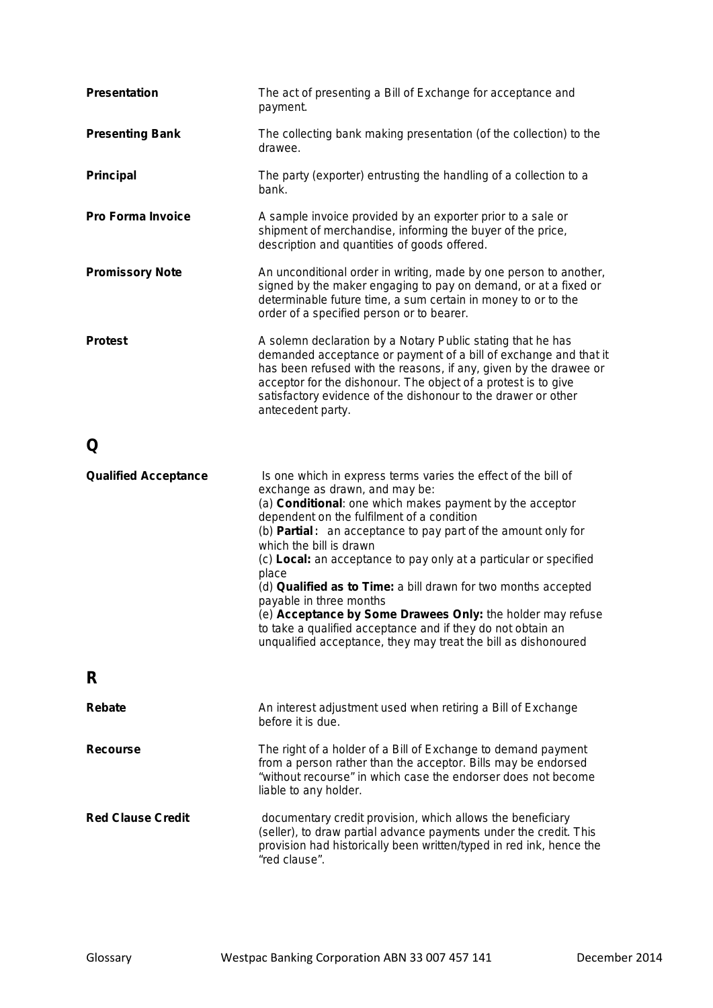| <b>Presentation</b>         | The act of presenting a Bill of Exchange for acceptance and<br>payment.                                                                                                                                                                                                                                                                                                                                                                                                                                                                                                                                                                                                                  |
|-----------------------------|------------------------------------------------------------------------------------------------------------------------------------------------------------------------------------------------------------------------------------------------------------------------------------------------------------------------------------------------------------------------------------------------------------------------------------------------------------------------------------------------------------------------------------------------------------------------------------------------------------------------------------------------------------------------------------------|
| <b>Presenting Bank</b>      | The collecting bank making presentation (of the collection) to the<br>drawee.                                                                                                                                                                                                                                                                                                                                                                                                                                                                                                                                                                                                            |
| <b>Principal</b>            | The party (exporter) entrusting the handling of a collection to a<br>bank.                                                                                                                                                                                                                                                                                                                                                                                                                                                                                                                                                                                                               |
| <b>Pro Forma Invoice</b>    | A sample invoice provided by an exporter prior to a sale or<br>shipment of merchandise, informing the buyer of the price,<br>description and quantities of goods offered.                                                                                                                                                                                                                                                                                                                                                                                                                                                                                                                |
| <b>Promissory Note</b>      | An unconditional order in writing, made by one person to another,<br>signed by the maker engaging to pay on demand, or at a fixed or<br>determinable future time, a sum certain in money to or to the<br>order of a specified person or to bearer.                                                                                                                                                                                                                                                                                                                                                                                                                                       |
| <b>Protest</b>              | A solemn declaration by a Notary Public stating that he has<br>demanded acceptance or payment of a bill of exchange and that it<br>has been refused with the reasons, if any, given by the drawee or<br>acceptor for the dishonour. The object of a protest is to give<br>satisfactory evidence of the dishonour to the drawer or other<br>antecedent party.                                                                                                                                                                                                                                                                                                                             |
| Q                           |                                                                                                                                                                                                                                                                                                                                                                                                                                                                                                                                                                                                                                                                                          |
| <b>Qualified Acceptance</b> | Is one which in express terms varies the effect of the bill of<br>exchange as drawn, and may be:<br>(a) Conditional: one which makes payment by the acceptor<br>dependent on the fulfilment of a condition<br>(b) <b>Partial</b> : an acceptance to pay part of the amount only for<br>which the bill is drawn<br>(c) Local: an acceptance to pay only at a particular or specified<br>place<br>(d) Qualified as to Time: a bill drawn for two months accepted<br>payable in three months<br>(e) Acceptance by Some Drawees Only: the holder may refuse<br>to take a qualified acceptance and if they do not obtain an<br>unqualified acceptance, they may treat the bill as dishonoured |
| R                           |                                                                                                                                                                                                                                                                                                                                                                                                                                                                                                                                                                                                                                                                                          |
| Rebate                      | An interest adjustment used when retiring a Bill of Exchange<br>before it is due.                                                                                                                                                                                                                                                                                                                                                                                                                                                                                                                                                                                                        |
| <b>Recourse</b>             | The right of a holder of a Bill of Exchange to demand payment<br>from a person rather than the acceptor. Bills may be endorsed<br>"without recourse" in which case the endorser does not become<br>liable to any holder.                                                                                                                                                                                                                                                                                                                                                                                                                                                                 |
| <b>Red Clause Credit</b>    | documentary credit provision, which allows the beneficiary<br>(seller), to draw partial advance payments under the credit. This<br>provision had historically been written/typed in red ink, hence the<br>"red clause".                                                                                                                                                                                                                                                                                                                                                                                                                                                                  |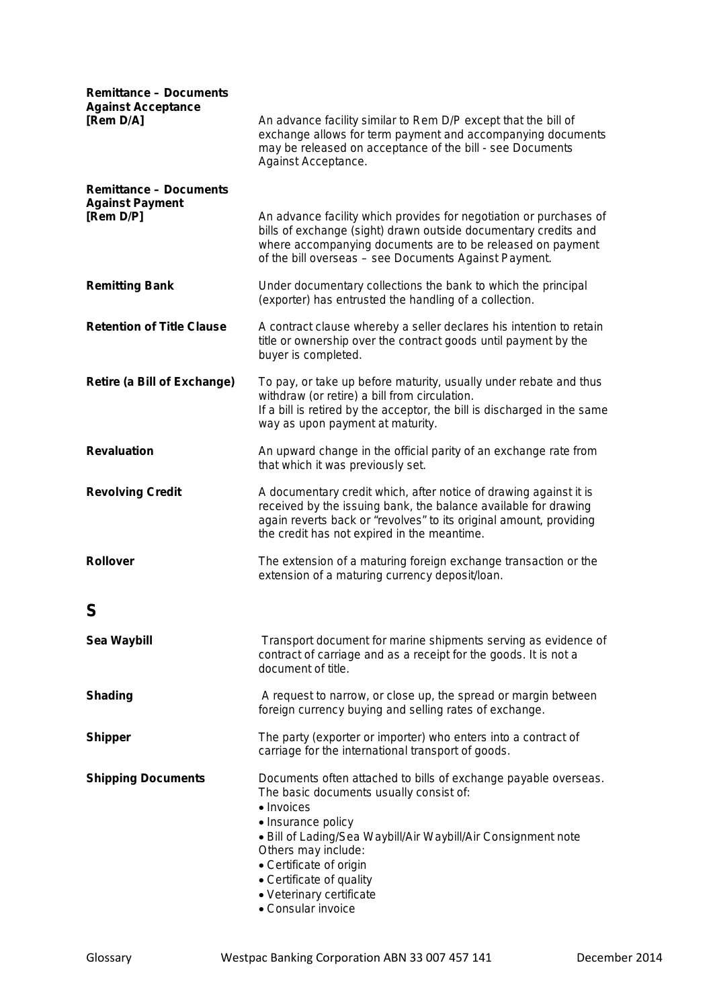| <b>Remittance - Documents</b><br><b>Against Acceptance</b><br>[Rem D/A] | An advance facility similar to Rem D/P except that the bill of<br>exchange allows for term payment and accompanying documents<br>may be released on acceptance of the bill - see Documents<br>Against Acceptance.                                                                                                                               |
|-------------------------------------------------------------------------|-------------------------------------------------------------------------------------------------------------------------------------------------------------------------------------------------------------------------------------------------------------------------------------------------------------------------------------------------|
| <b>Remittance - Documents</b><br><b>Against Payment</b><br>[Rem D/P]    | An advance facility which provides for negotiation or purchases of<br>bills of exchange (sight) drawn outside documentary credits and<br>where accompanying documents are to be released on payment<br>of the bill overseas - see Documents Against Payment.                                                                                    |
| <b>Remitting Bank</b>                                                   | Under documentary collections the bank to which the principal<br>(exporter) has entrusted the handling of a collection.                                                                                                                                                                                                                         |
| <b>Retention of Title Clause</b>                                        | A contract clause whereby a seller declares his intention to retain<br>title or ownership over the contract goods until payment by the<br>buyer is completed.                                                                                                                                                                                   |
| <b>Retire (a Bill of Exchange)</b>                                      | To pay, or take up before maturity, usually under rebate and thus<br>withdraw (or retire) a bill from circulation.<br>If a bill is retired by the acceptor, the bill is discharged in the same<br>way as upon payment at maturity.                                                                                                              |
| <b>Revaluation</b>                                                      | An upward change in the official parity of an exchange rate from<br>that which it was previously set.                                                                                                                                                                                                                                           |
| <b>Revolving Credit</b>                                                 | A documentary credit which, after notice of drawing against it is<br>received by the issuing bank, the balance available for drawing<br>again reverts back or "revolves" to its original amount, providing<br>the credit has not expired in the meantime.                                                                                       |
| <b>Rollover</b>                                                         | The extension of a maturing foreign exchange transaction or the<br>extension of a maturing currency deposit/loan.                                                                                                                                                                                                                               |
| S                                                                       |                                                                                                                                                                                                                                                                                                                                                 |
| Sea Waybill                                                             | Transport document for marine shipments serving as evidence of<br>contract of carriage and as a receipt for the goods. It is not a<br>document of title.                                                                                                                                                                                        |
| <b>Shading</b>                                                          | A request to narrow, or close up, the spread or margin between<br>foreign currency buying and selling rates of exchange.                                                                                                                                                                                                                        |
| <b>Shipper</b>                                                          | The party (exporter or importer) who enters into a contract of<br>carriage for the international transport of goods.                                                                                                                                                                                                                            |
| <b>Shipping Documents</b>                                               | Documents often attached to bills of exchange payable overseas.<br>The basic documents usually consist of:<br>• Invoices<br>• Insurance policy<br>• Bill of Lading/Sea Waybill/Air Waybill/Air Consignment note<br>Others may include:<br>• Certificate of origin<br>• Certificate of quality<br>• Veterinary certificate<br>• Consular invoice |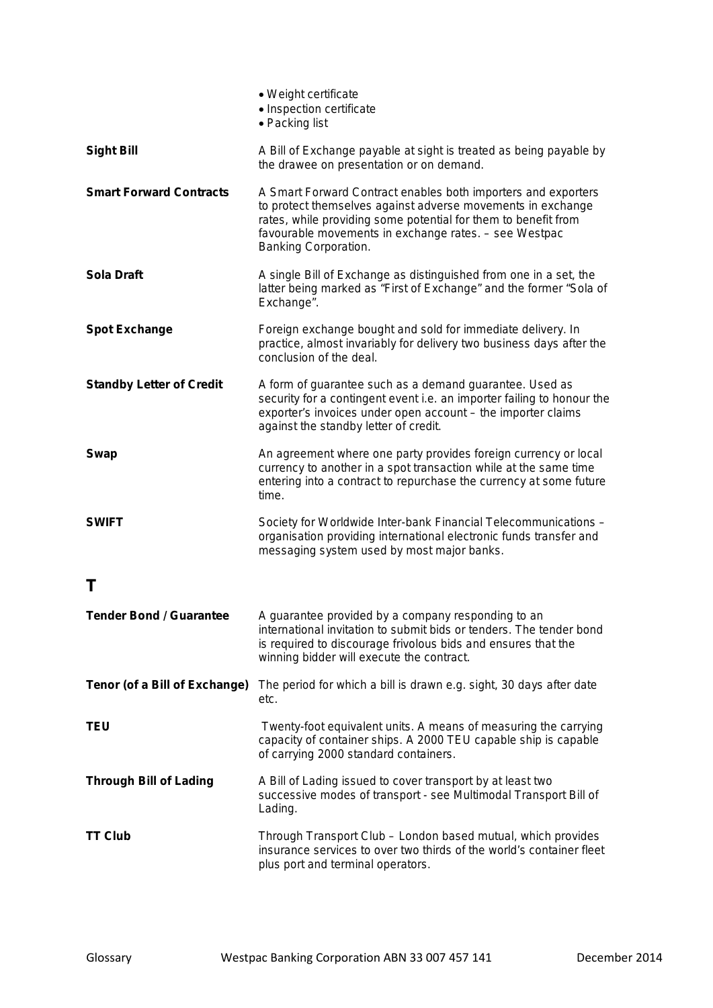|                                 | • Weight certificate<br>• Inspection certificate<br>• Packing list                                                                                                                                                                                                                     |
|---------------------------------|----------------------------------------------------------------------------------------------------------------------------------------------------------------------------------------------------------------------------------------------------------------------------------------|
| <b>Sight Bill</b>               | A Bill of Exchange payable at sight is treated as being payable by<br>the drawee on presentation or on demand.                                                                                                                                                                         |
| <b>Smart Forward Contracts</b>  | A Smart Forward Contract enables both importers and exporters<br>to protect themselves against adverse movements in exchange<br>rates, while providing some potential for them to benefit from<br>favourable movements in exchange rates. - see Westpac<br><b>Banking Corporation.</b> |
| <b>Sola Draft</b>               | A single Bill of Exchange as distinguished from one in a set, the<br>latter being marked as "First of Exchange" and the former "Sola of<br>Exchange".                                                                                                                                  |
| <b>Spot Exchange</b>            | Foreign exchange bought and sold for immediate delivery. In<br>practice, almost invariably for delivery two business days after the<br>conclusion of the deal.                                                                                                                         |
| <b>Standby Letter of Credit</b> | A form of guarantee such as a demand guarantee. Used as<br>security for a contingent event i.e. an importer failing to honour the<br>exporter's invoices under open account - the importer claims<br>against the standby letter of credit.                                             |
| <b>Swap</b>                     | An agreement where one party provides foreign currency or local<br>currency to another in a spot transaction while at the same time<br>entering into a contract to repurchase the currency at some future<br>time.                                                                     |
| <b>SWIFT</b>                    | Society for Worldwide Inter-bank Financial Telecommunications -<br>organisation providing international electronic funds transfer and<br>messaging system used by most major banks.                                                                                                    |
| Τ                               |                                                                                                                                                                                                                                                                                        |
| <b>Tender Bond / Guarantee</b>  | A guarantee provided by a company responding to an<br>international invitation to submit bids or tenders. The tender bond<br>is required to discourage frivolous bids and ensures that the<br>winning bidder will execute the contract.                                                |
| Tenor (of a Bill of Exchange)   | The period for which a bill is drawn e.g. sight, 30 days after date<br>etc.                                                                                                                                                                                                            |
| TEU                             | Twenty-foot equivalent units. A means of measuring the carrying<br>capacity of container ships. A 2000 TEU capable ship is capable<br>of carrying 2000 standard containers.                                                                                                            |
| <b>Through Bill of Lading</b>   | A Bill of Lading issued to cover transport by at least two<br>successive modes of transport - see Multimodal Transport Bill of<br>Lading.                                                                                                                                              |
| <b>TT Club</b>                  | Through Transport Club - London based mutual, which provides<br>insurance services to over two thirds of the world's container fleet<br>plus port and terminal operators.                                                                                                              |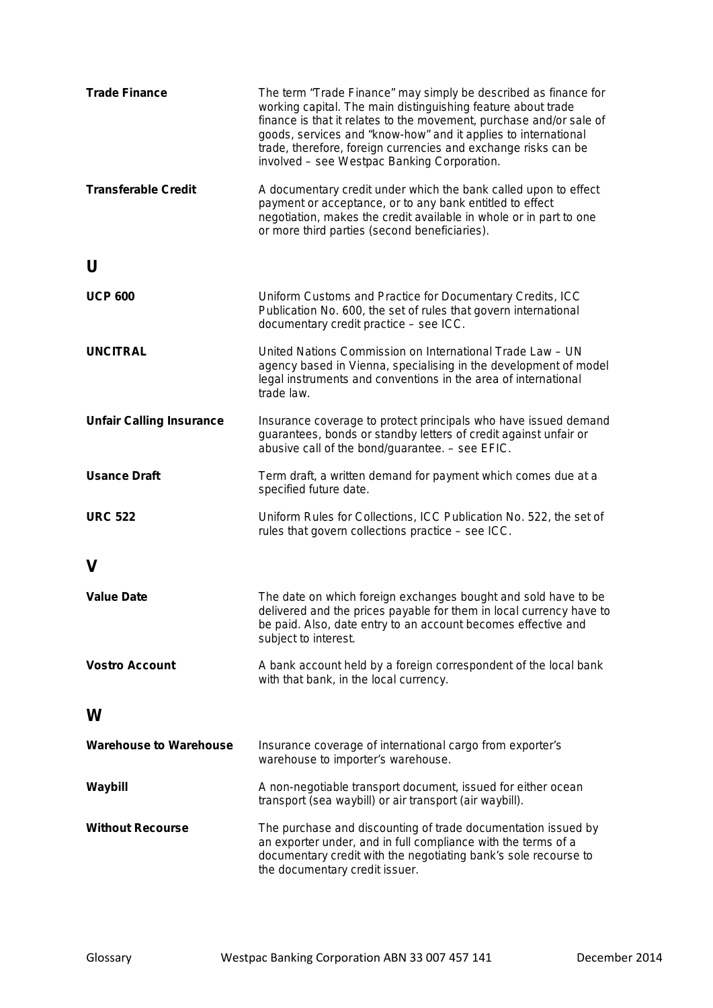| <b>Trade Finance</b>            | The term "Trade Finance" may simply be described as finance for<br>working capital. The main distinguishing feature about trade<br>finance is that it relates to the movement, purchase and/or sale of<br>goods, services and "know-how" and it applies to international<br>trade, therefore, foreign currencies and exchange risks can be<br>involved - see Westpac Banking Corporation. |
|---------------------------------|-------------------------------------------------------------------------------------------------------------------------------------------------------------------------------------------------------------------------------------------------------------------------------------------------------------------------------------------------------------------------------------------|
| <b>Transferable Credit</b>      | A documentary credit under which the bank called upon to effect<br>payment or acceptance, or to any bank entitled to effect<br>negotiation, makes the credit available in whole or in part to one<br>or more third parties (second beneficiaries).                                                                                                                                        |
| U                               |                                                                                                                                                                                                                                                                                                                                                                                           |
| <b>UCP 600</b>                  | Uniform Customs and Practice for Documentary Credits, ICC<br>Publication No. 600, the set of rules that govern international<br>documentary credit practice - see ICC.                                                                                                                                                                                                                    |
| <b>UNCITRAL</b>                 | United Nations Commission on International Trade Law - UN<br>agency based in Vienna, specialising in the development of model<br>legal instruments and conventions in the area of international<br>trade law.                                                                                                                                                                             |
| <b>Unfair Calling Insurance</b> | Insurance coverage to protect principals who have issued demand<br>guarantees, bonds or standby letters of credit against unfair or<br>abusive call of the bond/guarantee. - see EFIC.                                                                                                                                                                                                    |
| <b>Usance Draft</b>             | Term draft, a written demand for payment which comes due at a<br>specified future date.                                                                                                                                                                                                                                                                                                   |
| <b>URC 522</b>                  | Uniform Rules for Collections, ICC Publication No. 522, the set of<br>rules that govern collections practice - see ICC.                                                                                                                                                                                                                                                                   |
| V                               |                                                                                                                                                                                                                                                                                                                                                                                           |
| <b>Value Date</b>               | The date on which foreign exchanges bought and sold have to be<br>delivered and the prices payable for them in local currency have to<br>be paid. Also, date entry to an account becomes effective and<br>subject to interest.                                                                                                                                                            |
| <b>Vostro Account</b>           | A bank account held by a foreign correspondent of the local bank<br>with that bank, in the local currency.                                                                                                                                                                                                                                                                                |
| W                               |                                                                                                                                                                                                                                                                                                                                                                                           |
| <b>Warehouse to Warehouse</b>   | Insurance coverage of international cargo from exporter's<br>warehouse to importer's warehouse.                                                                                                                                                                                                                                                                                           |
| Waybill                         | A non-negotiable transport document, issued for either ocean<br>transport (sea waybill) or air transport (air waybill).                                                                                                                                                                                                                                                                   |
| <b>Without Recourse</b>         | The purchase and discounting of trade documentation issued by<br>an exporter under, and in full compliance with the terms of a<br>documentary credit with the negotiating bank's sole recourse to<br>the documentary credit issuer.                                                                                                                                                       |